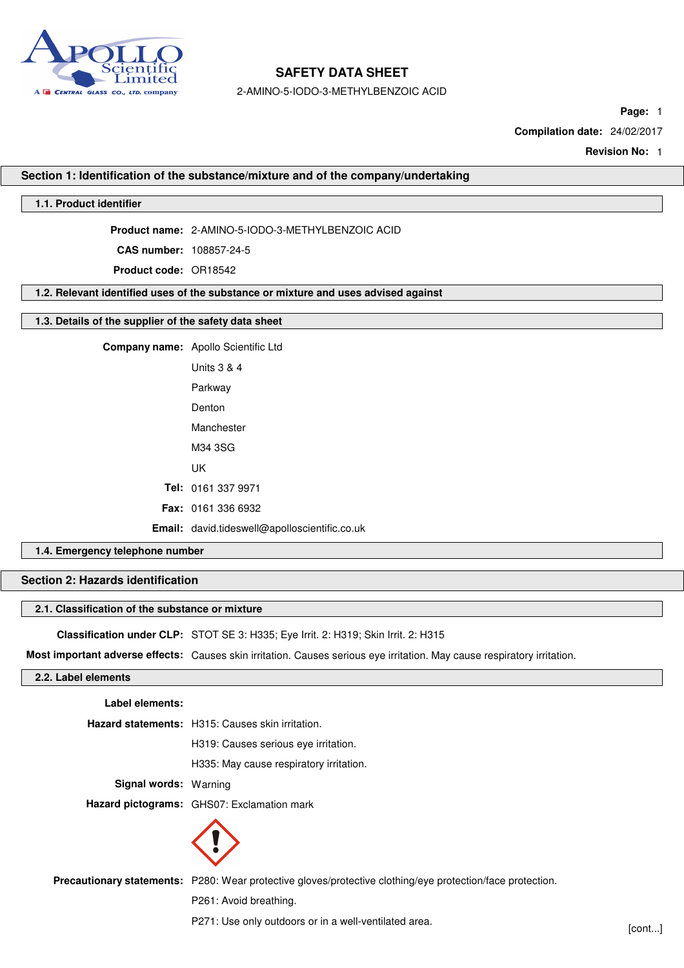

2-AMINO-5-IODO-3-METHYLBENZOIC ACID

**Page:** 1

**Compilation date:** 24/02/2017

**Revision No:** 1

#### **Section 1: Identification of the substance/mixture and of the company/undertaking**

## **1.1. Product identifier**

**Product name:** 2-AMINO-5-IODO-3-METHYLBENZOIC ACID

**CAS number:** 108857-24-5

**Product code:** OR18542

#### **1.2. Relevant identified uses of the substance or mixture and uses advised against**

### **1.3. Details of the supplier of the safety data sheet**

**Company name:** Apollo Scientific Ltd Units 3 & 4 Parkway Denton Manchester M34 3SG UK **Tel:** 0161 337 9971 **Fax:** 0161 336 6932 **Email:** david.tideswell@apolloscientific.co.uk

## **1.4. Emergency telephone number**

#### **Section 2: Hazards identification**

#### **2.1. Classification of the substance or mixture**

**Classification under CLP:** STOT SE 3: H335; Eye Irrit. 2: H319; Skin Irrit. 2: H315

**Most important adverse effects:** Causes skin irritation. Causes serious eye irritation. May cause respiratory irritation.

#### **2.2. Label elements**

| Label elements:              |                                                         |
|------------------------------|---------------------------------------------------------|
|                              | <b>Hazard statements:</b> H315: Causes skin irritation. |
|                              | H319: Causes serious eye irritation.                    |
|                              | H335: May cause respiratory irritation.                 |
| <b>Signal words: Warning</b> |                                                         |
|                              | Hazard pictograms: GHS07: Exclamation mark              |
|                              |                                                         |

**Precautionary statements:** P280: Wear protective gloves/protective clothing/eye protection/face protection.

P261: Avoid breathing.

P271: Use only outdoors or in a well-ventilated area.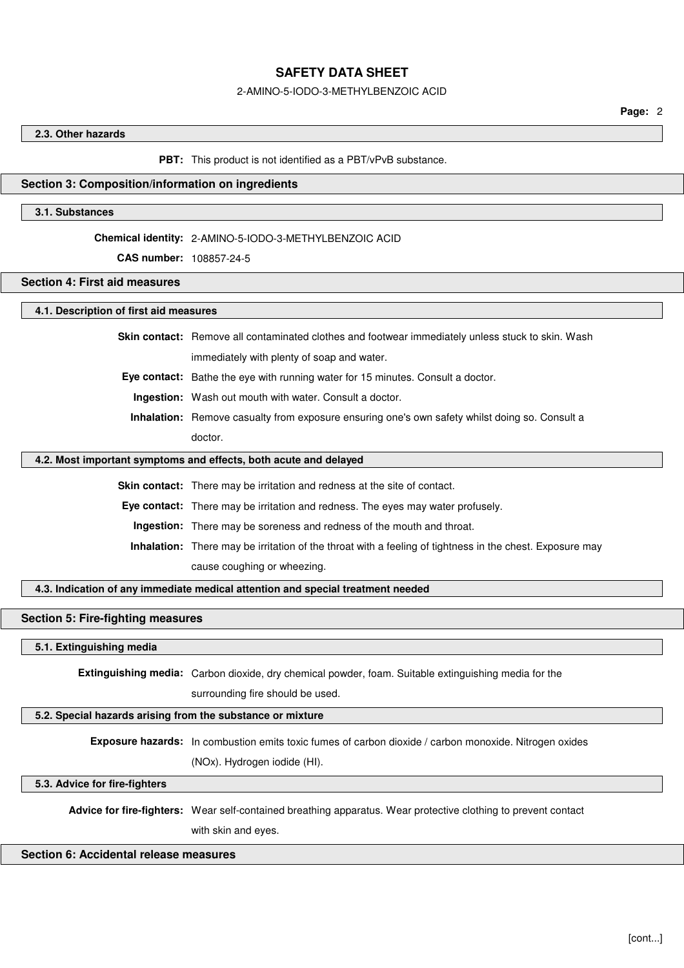#### 2-AMINO-5-IODO-3-METHYLBENZOIC ACID

### **2.3. Other hazards**

#### **PBT:** This product is not identified as a PBT/vPvB substance.

#### **Section 3: Composition/information on ingredients**

#### **3.1. Substances**

#### **Chemical identity:** 2-AMINO-5-IODO-3-METHYLBENZOIC ACID

**CAS number:** 108857-24-5

## **Section 4: First aid measures**

## **4.1. Description of first aid measures**

**Skin contact:** Remove all contaminated clothes and footwear immediately unless stuck to skin. Wash

immediately with plenty of soap and water.

**Eye contact:** Bathe the eye with running water for 15 minutes. Consult a doctor.

**Ingestion:** Wash out mouth with water. Consult a doctor.

**Inhalation:** Remove casualty from exposure ensuring one's own safety whilst doing so. Consult a doctor.

#### **4.2. Most important symptoms and effects, both acute and delayed**

**Skin contact:** There may be irritation and redness at the site of contact.

**Eye contact:** There may be irritation and redness. The eyes may water profusely.

**Ingestion:** There may be soreness and redness of the mouth and throat.

**Inhalation:** There may be irritation of the throat with a feeling of tightness in the chest. Exposure may cause coughing or wheezing.

**4.3. Indication of any immediate medical attention and special treatment needed**

#### **Section 5: Fire-fighting measures**

### **5.1. Extinguishing media**

**Extinguishing media:** Carbon dioxide, dry chemical powder, foam. Suitable extinguishing media for the

surrounding fire should be used.

#### **5.2. Special hazards arising from the substance or mixture**

**Exposure hazards:** In combustion emits toxic fumes of carbon dioxide / carbon monoxide. Nitrogen oxides (NOx). Hydrogen iodide (HI).

**5.3. Advice for fire-fighters**

**Advice for fire-fighters:** Wear self-contained breathing apparatus. Wear protective clothing to prevent contact

with skin and eyes.

### **Section 6: Accidental release measures**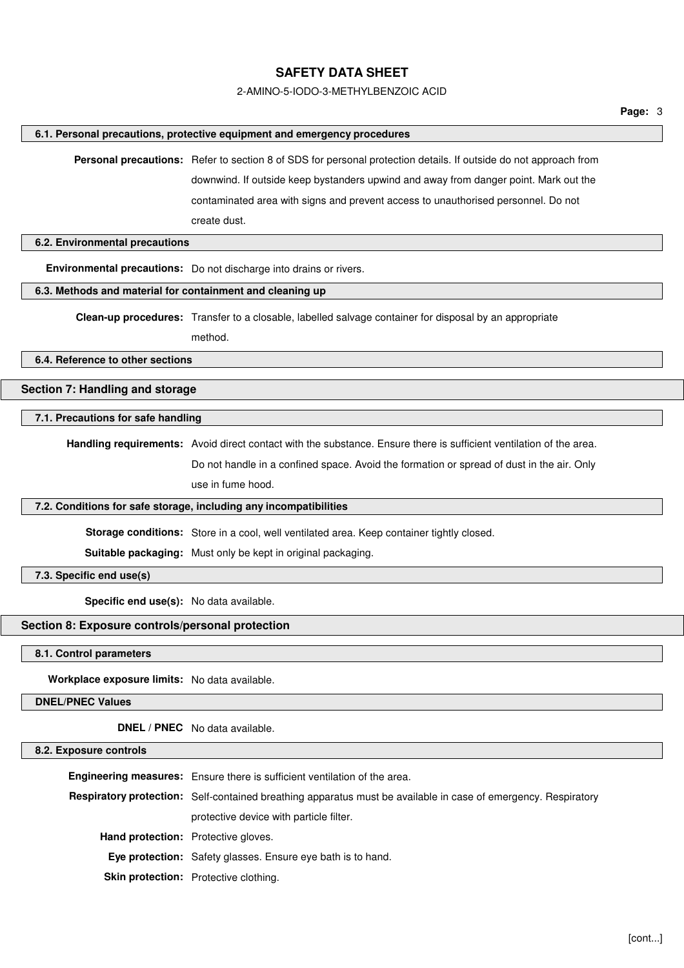### 2-AMINO-5-IODO-3-METHYLBENZOIC ACID

#### **6.1. Personal precautions, protective equipment and emergency procedures**

**Personal precautions:** Refer to section 8 of SDS for personal protection details. If outside do not approach from downwind. If outside keep bystanders upwind and away from danger point. Mark out the contaminated area with signs and prevent access to unauthorised personnel. Do not create dust.

## **6.2. Environmental precautions**

**Environmental precautions:** Do not discharge into drains or rivers.

## **6.3. Methods and material for containment and cleaning up**

**Clean-up procedures:** Transfer to a closable, labelled salvage container for disposal by an appropriate

method.

**6.4. Reference to other sections**

# **Section 7: Handling and storage**

#### **7.1. Precautions for safe handling**

**Handling requirements:** Avoid direct contact with the substance. Ensure there is sufficient ventilation of the area.

Do not handle in a confined space. Avoid the formation or spread of dust in the air. Only

use in fume hood.

### **7.2. Conditions for safe storage, including any incompatibilities**

**Storage conditions:** Store in a cool, well ventilated area. Keep container tightly closed.

**Suitable packaging:** Must only be kept in original packaging.

## **7.3. Specific end use(s)**

**Specific end use(s):** No data available.

# **Section 8: Exposure controls/personal protection**

**8.1. Control parameters**

**Workplace exposure limits:** No data available.

**DNEL/PNEC Values**

**DNEL / PNEC** No data available.

## **8.2. Exposure controls**

|                                            | <b>Engineering measures:</b> Ensure there is sufficient ventilation of the area.                                      |
|--------------------------------------------|-----------------------------------------------------------------------------------------------------------------------|
|                                            | <b>Respiratory protection:</b> Self-contained breathing apparatus must be available in case of emergency. Respiratory |
|                                            | protective device with particle filter.                                                                               |
| <b>Hand protection:</b> Protective gloves. |                                                                                                                       |
|                                            | <b>Eye protection:</b> Safety glasses. Ensure eye bath is to hand.                                                    |
|                                            | <b>Skin protection:</b> Protective clothing.                                                                          |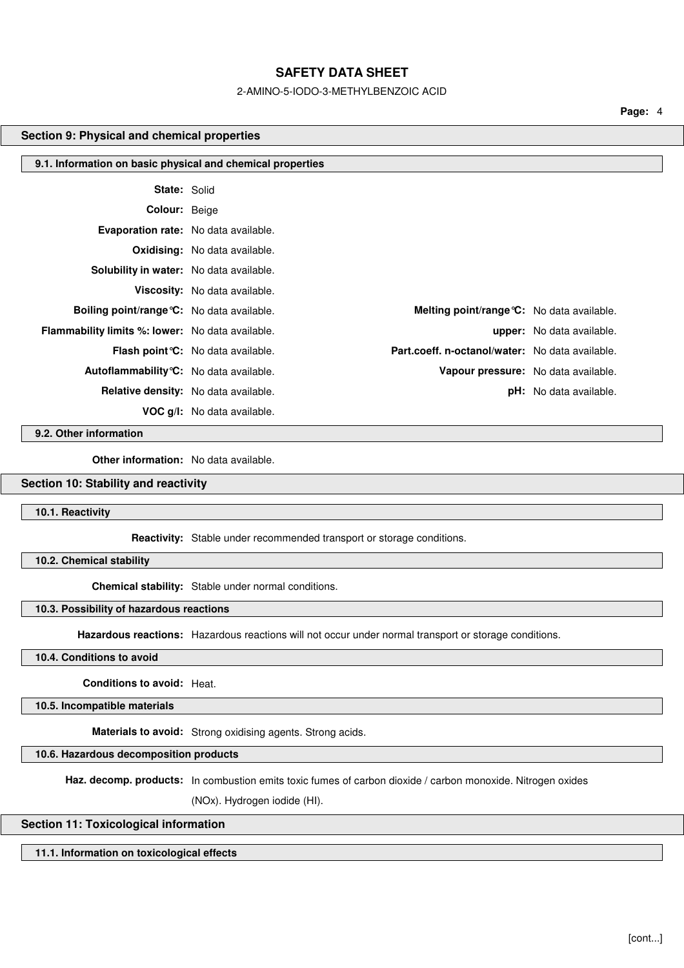#### 2-AMINO-5-IODO-3-METHYLBENZOIC ACID

**Page:** 4

#### **Section 9: Physical and chemical properties**

| 9.1. Information on basic physical and chemical properties |                                           |                                                 |                                  |
|------------------------------------------------------------|-------------------------------------------|-------------------------------------------------|----------------------------------|
| <b>State: Solid</b>                                        |                                           |                                                 |                                  |
| <b>Colour: Beige</b>                                       |                                           |                                                 |                                  |
| Evaporation rate: No data available.                       |                                           |                                                 |                                  |
|                                                            | <b>Oxidising:</b> No data available.      |                                                 |                                  |
| <b>Solubility in water:</b> No data available.             |                                           |                                                 |                                  |
|                                                            | Viscosity: No data available.             |                                                 |                                  |
| <b>Boiling point/range °C:</b> No data available.          |                                           | Melting point/range °C: No data available.      |                                  |
| <b>Flammability limits %: lower:</b> No data available.    |                                           |                                                 | <b>upper:</b> No data available. |
|                                                            | <b>Flash point °C:</b> No data available. | Part.coeff. n-octanol/water: No data available. |                                  |
| <b>Autoflammability °C:</b> No data available.             |                                           | Vapour pressure: No data available.             |                                  |
|                                                            | Relative density: No data available.      |                                                 | <b>pH:</b> No data available.    |
|                                                            | <b>VOC g/l:</b> No data available.        |                                                 |                                  |

**9.2. Other information**

**Other information:** No data available.

# **Section 10: Stability and reactivity**

**10.1. Reactivity**

**Reactivity:** Stable under recommended transport or storage conditions.

**10.2. Chemical stability**

**Chemical stability:** Stable under normal conditions.

## **10.3. Possibility of hazardous reactions**

**Hazardous reactions:** Hazardous reactions will not occur under normal transport or storage conditions.

## **10.4. Conditions to avoid**

**Conditions to avoid:** Heat.

**10.5. Incompatible materials**

**Materials to avoid:** Strong oxidising agents. Strong acids.

**10.6. Hazardous decomposition products**

**Haz. decomp. products:** In combustion emits toxic fumes of carbon dioxide / carbon monoxide. Nitrogen oxides

(NOx). Hydrogen iodide (HI).

## **Section 11: Toxicological information**

**11.1. Information on toxicological effects**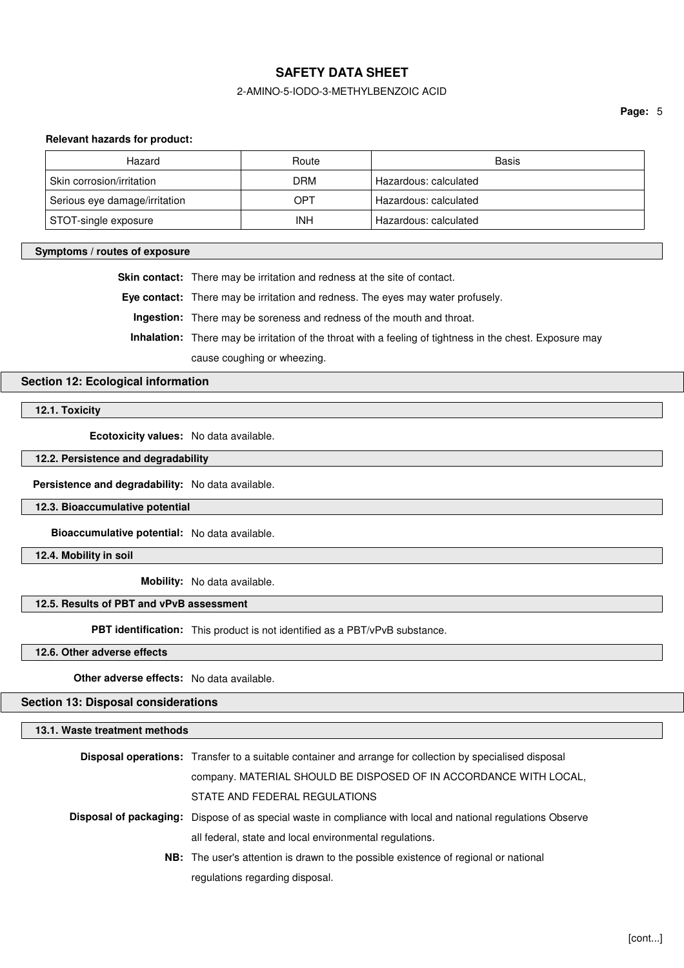### 2-AMINO-5-IODO-3-METHYLBENZOIC ACID

#### **Relevant hazards for product:**

| Hazard                        | Route | Basis                 |
|-------------------------------|-------|-----------------------|
| Skin corrosion/irritation     | DRM   | Hazardous: calculated |
| Serious eye damage/irritation | OPT   | Hazardous: calculated |
| STOT-single exposure          | INH   | Hazardous: calculated |

#### **Symptoms / routes of exposure**

**Skin contact:** There may be irritation and redness at the site of contact.

**Eye contact:** There may be irritation and redness. The eyes may water profusely.

**Ingestion:** There may be soreness and redness of the mouth and throat.

**Inhalation:** There may be irritation of the throat with a feeling of tightness in the chest. Exposure may

cause coughing or wheezing.

## **Section 12: Ecological information**

**12.1. Toxicity**

**Ecotoxicity values:** No data available.

**12.2. Persistence and degradability**

**Persistence and degradability:** No data available.

**12.3. Bioaccumulative potential**

**Bioaccumulative potential:** No data available.

**12.4. Mobility in soil**

**Mobility:** No data available.

## **12.5. Results of PBT and vPvB assessment**

**PBT identification:** This product is not identified as a PBT/vPvB substance.

**12.6. Other adverse effects**

**Other adverse effects:** No data available.

**Section 13: Disposal considerations**

**13.1. Waste treatment methods**

| <b>Disposal operations:</b> Transfer to a suitable container and arrange for collection by specialised disposal     |  |
|---------------------------------------------------------------------------------------------------------------------|--|
| company. MATERIAL SHOULD BE DISPOSED OF IN ACCORDANCE WITH LOCAL,                                                   |  |
| STATE AND FEDERAL REGULATIONS                                                                                       |  |
| <b>Disposal of packaging:</b> Dispose of as special waste in compliance with local and national regulations Observe |  |
| all federal, state and local environmental regulations.                                                             |  |
| <b>NB:</b> The user's attention is drawn to the possible existence of regional or national                          |  |
| regulations regarding disposal.                                                                                     |  |